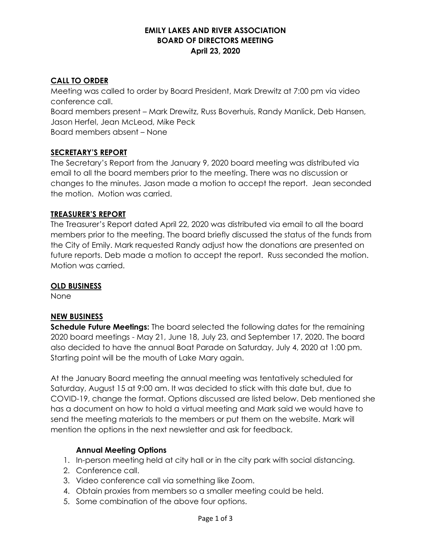## **EMILY LAKES AND RIVER ASSOCIATION BOARD OF DIRECTORS MEETING April 23, 2020**

# **CALL TO ORDER**

Meeting was called to order by Board President, Mark Drewitz at 7:00 pm via video conference call. Board members present – Mark Drewitz, Russ Boverhuis, Randy Manlick, Deb Hansen, Jason Herfel, Jean McLeod, Mike Peck Board members absent – None

### **SECRETARY'S REPORT**

The Secretary's Report from the January 9, 2020 board meeting was distributed via email to all the board members prior to the meeting. There was no discussion or changes to the minutes. Jason made a motion to accept the report. Jean seconded the motion. Motion was carried.

### **TREASURER'S REPORT**

The Treasurer's Report dated April 22, 2020 was distributed via email to all the board members prior to the meeting. The board briefly discussed the status of the funds from the City of Emily. Mark requested Randy adjust how the donations are presented on future reports. Deb made a motion to accept the report. Russ seconded the motion. Motion was carried.

### **OLD BUSINESS**

None

### **NEW BUSINESS**

**Schedule Future Meetings:** The board selected the following dates for the remaining 2020 board meetings - May 21, June 18, July 23, and September 17, 2020. The board also decided to have the annual Boat Parade on Saturday, July 4, 2020 at 1:00 pm. Starting point will be the mouth of Lake Mary again.

At the January Board meeting the annual meeting was tentatively scheduled for Saturday, August 15 at 9:00 am. It was decided to stick with this date but, due to COVID-19, change the format. Options discussed are listed below. Deb mentioned she has a document on how to hold a virtual meeting and Mark said we would have to send the meeting materials to the members or put them on the website. Mark will mention the options in the next newsletter and ask for feedback.

### **Annual Meeting Options**

- 1. In-person meeting held at city hall or in the city park with social distancing.
- 2. Conference call.
- 3. Video conference call via something like Zoom.
- 4. Obtain proxies from members so a smaller meeting could be held.
- 5. Some combination of the above four options.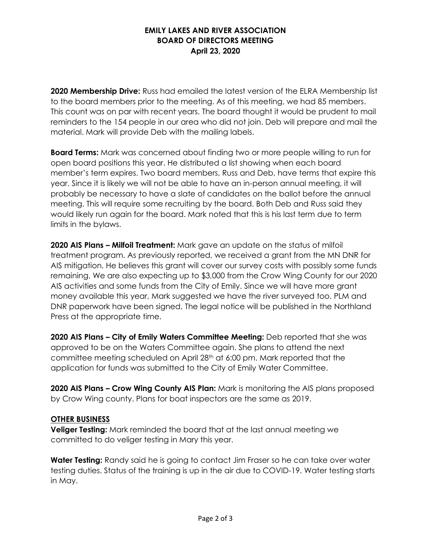## **EMILY LAKES AND RIVER ASSOCIATION BOARD OF DIRECTORS MEETING April 23, 2020**

**2020 Membership Drive:** Russ had emailed the latest version of the ELRA Membership list to the board members prior to the meeting. As of this meeting, we had 85 members. This count was on par with recent years. The board thought it would be prudent to mail reminders to the 154 people in our area who did not join. Deb will prepare and mail the material. Mark will provide Deb with the mailing labels.

**Board Terms:** Mark was concerned about finding two or more people willing to run for open board positions this year. He distributed a list showing when each board member's term expires. Two board members, Russ and Deb, have terms that expire this year. Since it is likely we will not be able to have an in-person annual meeting, it will probably be necessary to have a slate of candidates on the ballot before the annual meeting. This will require some recruiting by the board. Both Deb and Russ said they would likely run again for the board. Mark noted that this is his last term due to term limits in the bylaws.

**2020 AIS Plans – Milfoil Treatment:** Mark gave an update on the status of milfoil treatment program. As previously reported, we received a grant from the MN DNR for AIS mitigation. He believes this grant will cover our survey costs with possibly some funds remaining. We are also expecting up to \$3,000 from the Crow Wing County for our 2020 AIS activities and some funds from the City of Emily. Since we will have more grant money available this year, Mark suggested we have the river surveyed too. PLM and DNR paperwork have been signed. The legal notice will be published in the Northland Press at the appropriate time.

**2020 AIS Plans – City of Emily Waters Committee Meeting:** Deb reported that she was approved to be on the Waters Committee again. She plans to attend the next committee meeting scheduled on April 28th at 6:00 pm. Mark reported that the application for funds was submitted to the City of Emily Water Committee.

**2020 AIS Plans – Crow Wing County AIS Plan:** Mark is monitoring the AIS plans proposed by Crow Wing county. Plans for boat inspectors are the same as 2019.

### **OTHER BUSINESS**

**Veliger Testing:** Mark reminded the board that at the last annual meeting we committed to do veliger testing in Mary this year.

**Water Testing:** Randy said he is going to contact Jim Fraser so he can take over water testing duties. Status of the training is up in the air due to COVID-19. Water testing starts in May.